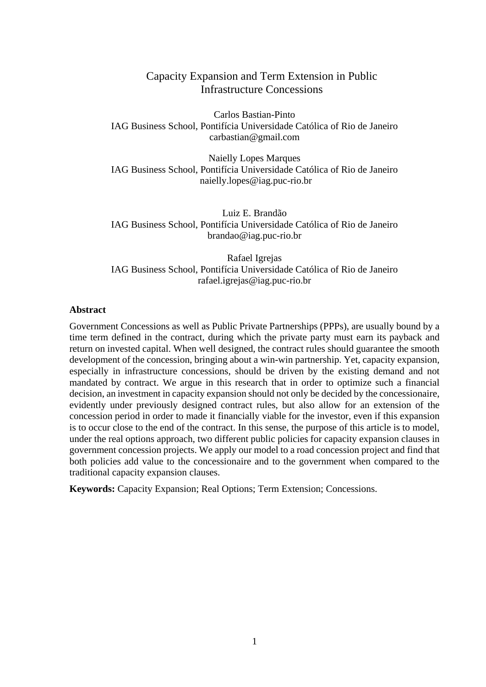# Capacity Expansion and Term Extension in Public Infrastructure Concessions

Carlos Bastian-Pinto IAG Business School, Pontifícia Universidade Católica of Rio de Janeiro carbastian@gmail.com

Naielly Lopes Marques IAG Business School, Pontifícia Universidade Católica of Rio de Janeiro [naielly.lopes@iag.puc-rio.br](mailto:rafael.igrejas@iag.puc-rio.br)

Luiz E. Brandão IAG Business School, Pontifícia Universidade Católica of Rio de Janeiro brandao@iag.puc-rio.br

Rafael Igrejas IAG Business School, Pontifícia Universidade Católica of Rio de Janeiro [rafael.igrejas@iag.puc-rio.br](mailto:rafael.igrejas@iag.puc-rio.br)

#### **Abstract**

Government Concessions as well as Public Private Partnerships (PPPs), are usually bound by a time term defined in the contract, during which the private party must earn its payback and return on invested capital. When well designed, the contract rules should guarantee the smooth development of the concession, bringing about a win-win partnership. Yet, capacity expansion, especially in infrastructure concessions, should be driven by the existing demand and not mandated by contract. We argue in this research that in order to optimize such a financial decision, an investment in capacity expansion should not only be decided by the concessionaire, evidently under previously designed contract rules, but also allow for an extension of the concession period in order to made it financially viable for the investor, even if this expansion is to occur close to the end of the contract. In this sense, the purpose of this article is to model, under the real options approach, two different public policies for capacity expansion clauses in government concession projects. We apply our model to a road concession project and find that both policies add value to the concessionaire and to the government when compared to the traditional capacity expansion clauses.

**Keywords:** Capacity Expansion; Real Options; Term Extension; Concessions.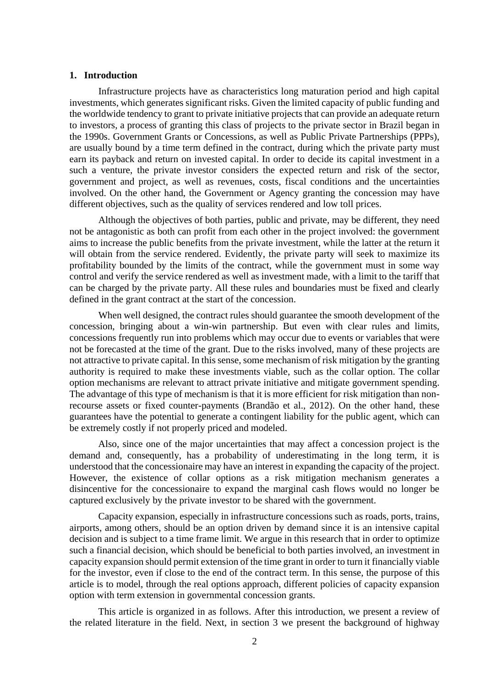### **1. Introduction**

Infrastructure projects have as characteristics long maturation period and high capital investments, which generates significant risks. Given the limited capacity of public funding and the worldwide tendency to grant to private initiative projects that can provide an adequate return to investors, a process of granting this class of projects to the private sector in Brazil began in the 1990s. Government Grants or Concessions, as well as Public Private Partnerships (PPPs), are usually bound by a time term defined in the contract, during which the private party must earn its payback and return on invested capital. In order to decide its capital investment in a such a venture, the private investor considers the expected return and risk of the sector, government and project, as well as revenues, costs, fiscal conditions and the uncertainties involved. On the other hand, the Government or Agency granting the concession may have different objectives, such as the quality of services rendered and low toll prices.

Although the objectives of both parties, public and private, may be different, they need not be antagonistic as both can profit from each other in the project involved: the government aims to increase the public benefits from the private investment, while the latter at the return it will obtain from the service rendered. Evidently, the private party will seek to maximize its profitability bounded by the limits of the contract, while the government must in some way control and verify the service rendered as well as investment made, with a limit to the tariff that can be charged by the private party. All these rules and boundaries must be fixed and clearly defined in the grant contract at the start of the concession.

When well designed, the contract rules should guarantee the smooth development of the concession, bringing about a win-win partnership. But even with clear rules and limits, concessions frequently run into problems which may occur due to events or variables that were not be forecasted at the time of the grant. Due to the risks involved, many of these projects are not attractive to private capital. In this sense, some mechanism of risk mitigation by the granting authority is required to make these investments viable, such as the collar option. The collar option mechanisms are relevant to attract private initiative and mitigate government spending. The advantage of this type of mechanism is that it is more efficient for risk mitigation than nonrecourse assets or fixed counter-payments (Brandão et al., 2012). On the other hand, these guarantees have the potential to generate a contingent liability for the public agent, which can be extremely costly if not properly priced and modeled.

Also, since one of the major uncertainties that may affect a concession project is the demand and, consequently, has a probability of underestimating in the long term, it is understood that the concessionaire may have an interest in expanding the capacity of the project. However, the existence of collar options as a risk mitigation mechanism generates a disincentive for the concessionaire to expand the marginal cash flows would no longer be captured exclusively by the private investor to be shared with the government.

Capacity expansion, especially in infrastructure concessions such as roads, ports, trains, airports, among others, should be an option driven by demand since it is an intensive capital decision and is subject to a time frame limit. We argue in this research that in order to optimize such a financial decision, which should be beneficial to both parties involved, an investment in capacity expansion should permit extension of the time grant in order to turn it financially viable for the investor, even if close to the end of the contract term. In this sense, the purpose of this article is to model, through the real options approach, different policies of capacity expansion option with term extension in governmental concession grants.

This article is organized in as follows. After this introduction, we present a review of the related literature in the field. Next, in section 3 we present the background of highway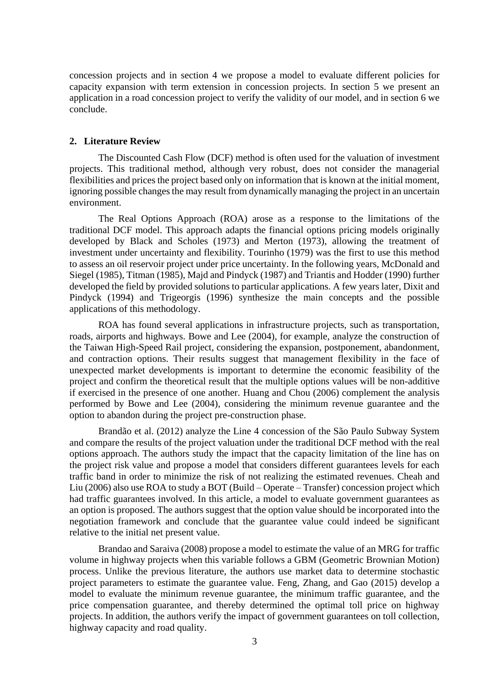concession projects and in section 4 we propose a model to evaluate different policies for capacity expansion with term extension in concession projects. In section 5 we present an application in a road concession project to verify the validity of our model, and in section 6 we conclude.

## **2. Literature Review**

The Discounted Cash Flow (DCF) method is often used for the valuation of investment projects. This traditional method, although very robust, does not consider the managerial flexibilities and prices the project based only on information that is known at the initial moment, ignoring possible changes the may result from dynamically managing the project in an uncertain environment.

The Real Options Approach (ROA) arose as a response to the limitations of the traditional DCF model. This approach adapts the financial options pricing models originally developed by Black and Scholes (1973) and Merton (1973), allowing the treatment of investment under uncertainty and flexibility. Tourinho (1979) was the first to use this method to assess an oil reservoir project under price uncertainty. In the following years, McDonald and Siegel (1985), Titman (1985), Majd and Pindyck (1987) and Triantis and Hodder (1990) further developed the field by provided solutions to particular applications. A few years later, Dixit and Pindyck (1994) and Trigeorgis (1996) synthesize the main concepts and the possible applications of this methodology.

ROA has found several applications in infrastructure projects, such as transportation, roads, airports and highways. Bowe and Lee (2004), for example, analyze the construction of the Taiwan High-Speed Rail project, considering the expansion, postponement, abandonment, and contraction options. Their results suggest that management flexibility in the face of unexpected market developments is important to determine the economic feasibility of the project and confirm the theoretical result that the multiple options values will be non-additive if exercised in the presence of one another. Huang and Chou (2006) complement the analysis performed by Bowe and Lee (2004), considering the minimum revenue guarantee and the option to abandon during the project pre-construction phase.

Brandão et al. (2012) analyze the Line 4 concession of the São Paulo Subway System and compare the results of the project valuation under the traditional DCF method with the real options approach. The authors study the impact that the capacity limitation of the line has on the project risk value and propose a model that considers different guarantees levels for each traffic band in order to minimize the risk of not realizing the estimated revenues. Cheah and Liu (2006) also use ROA to study a BOT (Build – Operate – Transfer) concession project which had traffic guarantees involved. In this article, a model to evaluate government guarantees as an option is proposed. The authors suggest that the option value should be incorporated into the negotiation framework and conclude that the guarantee value could indeed be significant relative to the initial net present value.

Brandao and Saraiva (2008) propose a model to estimate the value of an MRG for traffic volume in highway projects when this variable follows a GBM (Geometric Brownian Motion) process. Unlike the previous literature, the authors use market data to determine stochastic project parameters to estimate the guarantee value. Feng, Zhang, and Gao (2015) develop a model to evaluate the minimum revenue guarantee, the minimum traffic guarantee, and the price compensation guarantee, and thereby determined the optimal toll price on highway projects. In addition, the authors verify the impact of government guarantees on toll collection, highway capacity and road quality.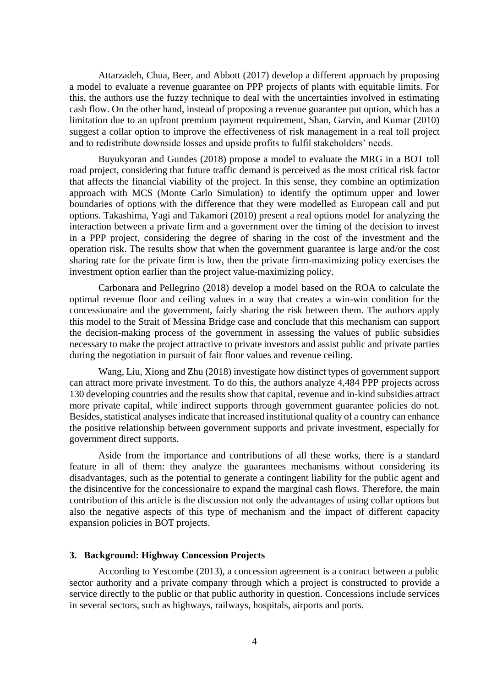Attarzadeh, Chua, Beer, and Abbott (2017) develop a different approach by proposing a model to evaluate a revenue guarantee on PPP projects of plants with equitable limits. For this, the authors use the fuzzy technique to deal with the uncertainties involved in estimating cash flow. On the other hand, instead of proposing a revenue guarantee put option, which has a limitation due to an upfront premium payment requirement, Shan, Garvin, and Kumar (2010) suggest a collar option to improve the effectiveness of risk management in a real toll project and to redistribute downside losses and upside profits to fulfil stakeholders' needs.

Buyukyoran and Gundes (2018) propose a model to evaluate the MRG in a BOT toll road project, considering that future traffic demand is perceived as the most critical risk factor that affects the financial viability of the project. In this sense, they combine an optimization approach with MCS (Monte Carlo Simulation) to identify the optimum upper and lower boundaries of options with the difference that they were modelled as European call and put options. Takashima, Yagi and Takamori (2010) present a real options model for analyzing the interaction between a private firm and a government over the timing of the decision to invest in a PPP project, considering the degree of sharing in the cost of the investment and the operation risk. The results show that when the government guarantee is large and/or the cost sharing rate for the private firm is low, then the private firm-maximizing policy exercises the investment option earlier than the project value-maximizing policy.

Carbonara and Pellegrino (2018) develop a model based on the ROA to calculate the optimal revenue floor and ceiling values in a way that creates a win-win condition for the concessionaire and the government, fairly sharing the risk between them. The authors apply this model to the Strait of Messina Bridge case and conclude that this mechanism can support the decision-making process of the government in assessing the values of public subsidies necessary to make the project attractive to private investors and assist public and private parties during the negotiation in pursuit of fair floor values and revenue ceiling.

Wang, Liu, Xiong and Zhu (2018) investigate how distinct types of government support can attract more private investment. To do this, the authors analyze 4,484 PPP projects across 130 developing countries and the results show that capital, revenue and in-kind subsidies attract more private capital, while indirect supports through government guarantee policies do not. Besides, statistical analyses indicate that increased institutional quality of a country can enhance the positive relationship between government supports and private investment, especially for government direct supports.

Aside from the importance and contributions of all these works, there is a standard feature in all of them: they analyze the guarantees mechanisms without considering its disadvantages, such as the potential to generate a contingent liability for the public agent and the disincentive for the concessionaire to expand the marginal cash flows. Therefore, the main contribution of this article is the discussion not only the advantages of using collar options but also the negative aspects of this type of mechanism and the impact of different capacity expansion policies in BOT projects.

## **3. Background: Highway Concession Projects**

According to Yescombe (2013), a concession agreement is a contract between a public sector authority and a private company through which a project is constructed to provide a service directly to the public or that public authority in question. Concessions include services in several sectors, such as highways, railways, hospitals, airports and ports.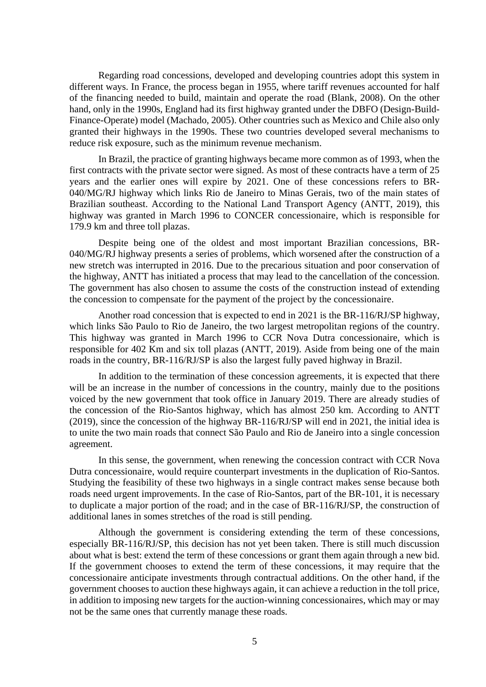Regarding road concessions, developed and developing countries adopt this system in different ways. In France, the process began in 1955, where tariff revenues accounted for half of the financing needed to build, maintain and operate the road (Blank, 2008). On the other hand, only in the 1990s, England had its first highway granted under the DBFO (Design-Build-Finance-Operate) model (Machado, 2005). Other countries such as Mexico and Chile also only granted their highways in the 1990s. These two countries developed several mechanisms to reduce risk exposure, such as the minimum revenue mechanism.

In Brazil, the practice of granting highways became more common as of 1993, when the first contracts with the private sector were signed. As most of these contracts have a term of 25 years and the earlier ones will expire by 2021. One of these concessions refers to BR-040/MG/RJ highway which links Rio de Janeiro to Minas Gerais, two of the main states of Brazilian southeast. According to the National Land Transport Agency (ANTT, 2019), this highway was granted in March 1996 to CONCER concessionaire, which is responsible for 179.9 km and three toll plazas.

Despite being one of the oldest and most important Brazilian concessions, BR-040/MG/RJ highway presents a series of problems, which worsened after the construction of a new stretch was interrupted in 2016. Due to the precarious situation and poor conservation of the highway, ANTT has initiated a process that may lead to the cancellation of the concession. The government has also chosen to assume the costs of the construction instead of extending the concession to compensate for the payment of the project by the concessionaire.

Another road concession that is expected to end in 2021 is the BR-116/RJ/SP highway, which links São Paulo to Rio de Janeiro, the two largest metropolitan regions of the country. This highway was granted in March 1996 to CCR Nova Dutra concessionaire, which is responsible for 402 Km and six toll plazas (ANTT, 2019). Aside from being one of the main roads in the country, BR-116/RJ/SP is also the largest fully paved highway in Brazil.

In addition to the termination of these concession agreements, it is expected that there will be an increase in the number of concessions in the country, mainly due to the positions voiced by the new government that took office in January 2019. There are already studies of the concession of the Rio-Santos highway, which has almost 250 km. According to ANTT (2019), since the concession of the highway BR-116/RJ/SP will end in 2021, the initial idea is to unite the two main roads that connect São Paulo and Rio de Janeiro into a single concession agreement.

In this sense, the government, when renewing the concession contract with CCR Nova Dutra concessionaire, would require counterpart investments in the duplication of Rio-Santos. Studying the feasibility of these two highways in a single contract makes sense because both roads need urgent improvements. In the case of Rio-Santos, part of the BR-101, it is necessary to duplicate a major portion of the road; and in the case of BR-116/RJ/SP, the construction of additional lanes in somes stretches of the road is still pending.

Although the government is considering extending the term of these concessions, especially BR-116/RJ/SP, this decision has not yet been taken. There is still much discussion about what is best: extend the term of these concessions or grant them again through a new bid. If the government chooses to extend the term of these concessions, it may require that the concessionaire anticipate investments through contractual additions. On the other hand, if the government chooses to auction these highways again, it can achieve a reduction in the toll price, in addition to imposing new targets for the auction-winning concessionaires, which may or may not be the same ones that currently manage these roads.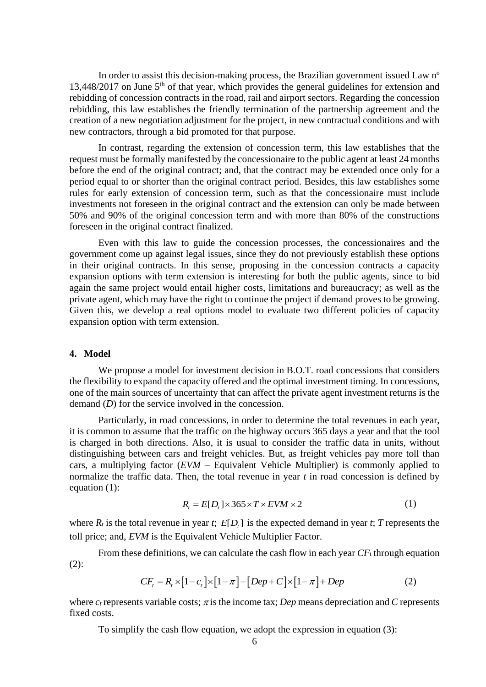In order to assist this decision-making process, the Brazilian government issued Law nº 13,448/2017 on June  $5<sup>th</sup>$  of that year, which provides the general guidelines for extension and rebidding of concession contracts in the road, rail and airport sectors. Regarding the concession rebidding, this law establishes the friendly termination of the partnership agreement and the creation of a new negotiation adjustment for the project, in new contractual conditions and with new contractors, through a bid promoted for that purpose.

In contrast, regarding the extension of concession term, this law establishes that the request must be formally manifested by the concessionaire to the public agent at least 24 months before the end of the original contract; and, that the contract may be extended once only for a period equal to or shorter than the original contract period. Besides, this law establishes some rules for early extension of concession term, such as that the concessionaire must include investments not foreseen in the original contract and the extension can only be made between 50% and 90% of the original concession term and with more than 80% of the constructions foreseen in the original contract finalized.

Even with this law to guide the concession processes, the concessionaires and the government come up against legal issues, since they do not previously establish these options in their original contracts. In this sense, proposing in the concession contracts a capacity expansion options with term extension is interesting for both the public agents, since to bid again the same project would entail higher costs, limitations and bureaucracy; as well as the private agent, which may have the right to continue the project if demand proves to be growing. Given this, we develop a real options model to evaluate two different policies of capacity expansion option with term extension.

## **4. Model**

We propose a model for investment decision in B.O.T. road concessions that considers the flexibility to expand the capacity offered and the optimal investment timing. In concessions, one of the main sources of uncertainty that can affect the private agent investment returns is the demand *(D)* for the service involved in the concession.

Particularly, in road concessions, in order to determine the total revenues in each year, it is common to assume that the traffic on the highway occurs 365 days a year and that the tool is charged in both directions. Also, it is usual to consider the traffic data in units, without distinguishing between cars and freight vehicles. But, as freight vehicles pay more toll than cars, a multiplying factor (*EVM* – Equivalent Vehicle Multiplier) is commonly applied to normalize the traffic data. Then, the total revenue in year *t* in road concession is defined by equation (1):

$$
R_{i} = E[D_{i}] \times 365 \times T \times EVM \times 2 \tag{1}
$$

where  $R_t$  is the total revenue in year *t*;  $E[D_t]$  is the expected demand in year *t*; *T* represents the toll price; and, *EVM* is the Equivalent Vehicle Multiplier Factor.

From these definitions, we can calculate the cash flow in each year *CF*<sup>t</sup> through equation (2):

$$
CFt = Rt \times [1 - ct] \times [1 - \pi] - [Dep + C] \times [1 - \pi] + Dep
$$
 (2)

where  $c_t$  represents variable costs;  $\pi$  is the income tax; *Dep* means depreciation and *C* represents fixed costs.

To simplify the cash flow equation, we adopt the expression in equation (3):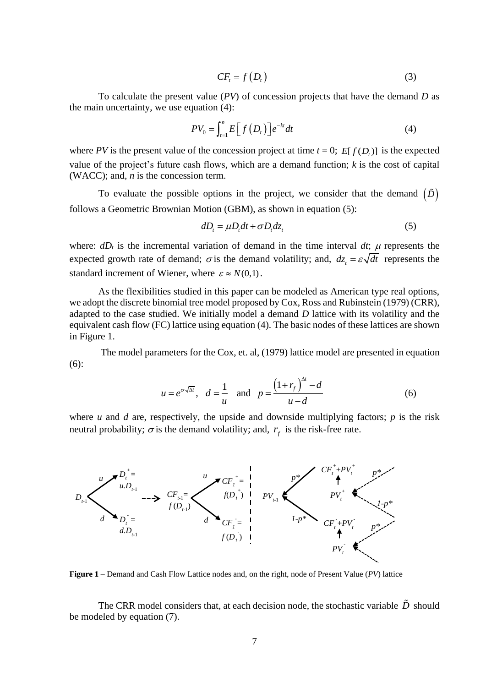$$
CFt = f(Dt)
$$
 (3)

To calculate the present value (*PV*) of concession projects that have the demand *D* as the main uncertainty, we use equation (4):

$$
PV_0 = \int_{t=1}^n E\Big[f\big(D_t\big)\Big] e^{-kt} dt \tag{4}
$$

where *PV* is the present value of the concession project at time  $t = 0$ ;  $E[f(D_t)]$  is the expected value of the project's future cash flows, which are a demand function; *k* is the cost of capital (WACC); and, *n* is the concession term.

To evaluate the possible options in the project, we consider that the demand  $(\tilde{D})$ follows a Geometric Brownian Motion (GBM), as shown in equation (5):

$$
dD_t = \mu D_t dt + \sigma D_t dz_t
$$
 (5)

where:  $dD_t$  is the incremental variation of demand in the time interval  $dt$ ;  $\mu$  represents the expected growth rate of demand;  $\sigma$  is the demand volatility; and,  $dz_t = \varepsilon \sqrt{dt}$  represents the standard increment of Wiener, where  $\varepsilon \approx N(0,1)$ .

As the flexibilities studied in this paper can be modeled as American type real options, we adopt the discrete binomial tree model proposed by Cox, Ross and Rubinstein (1979) (CRR), adapted to the case studied. We initially model a demand *D* lattice with its volatility and the equivalent cash flow (FC) lattice using equation (4). The basic nodes of these lattices are shown in [Figure 1.](#page-6-0)

The model parameters for the Cox, et. al, (1979) lattice model are presented in equation (6):

$$
u = e^{\sigma \sqrt{\Delta t}}, \quad d = \frac{1}{u} \quad \text{and} \quad p = \frac{\left(1 + r_f\right)^{\Delta t} - d}{u - d} \tag{6}
$$

where *u* and *d* are, respectively, the upside and downside multiplying factors; *p* is the risk neutral probability;  $\sigma$  is the demand volatility; and,  $r_f$  is the risk-free rate.



<span id="page-6-0"></span>**Figure 1** – Demand and Cash Flow Lattice nodes and, on the right, node of Present Value (*PV*) lattice

The CRR model considers that, at each decision node, the stochastic variable *D* should be modeled by equation (7).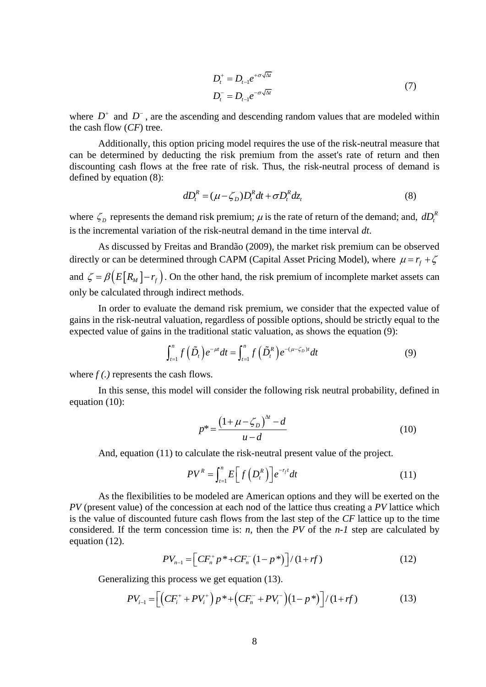$$
D_t^+ = D_{t-1} e^{+\sigma\sqrt{\Delta t}}
$$
  
\n
$$
D_t^- = D_{t-1} e^{-\sigma\sqrt{\Delta t}}
$$
\n(7)

where  $D^+$  and  $D^-$ , are the ascending and descending random values that are modeled within the cash flow (*CF*) tree.

Additionally, this option pricing model requires the use of the risk-neutral measure that can be determined by deducting the risk premium from the asset's rate of return and then discounting cash flows at the free rate of risk. Thus, the risk-neutral process of demand is defined by equation (8):

$$
dD_t^R = (\mu - \zeta_D)D_t^R dt + \sigma D_t^R dz_t
$$
\n(8)

where  $\zeta_D$  represents the demand risk premium;  $\mu$  is the rate of return of the demand; and,  $dD_t^R$ *t dD* is the incremental variation of the risk-neutral demand in the time interval *dt*.

As discussed by Freitas and Brandão (2009), the market risk premium can be observed directly or can be determined through CAPM (Capital Asset Pricing Model), where  $\mu = r_f + \zeta$ and  $\zeta = \beta \Big( E\big[R_M\big] - r_f \Big)$ . On the other hand, the risk premium of incomplete market assets can only be calculated through indirect methods.

In order to evaluate the demand risk premium, we consider that the expected value of gains in the risk-neutral valuation, regardless of possible options, should be strictly equal to the

expected value of gains in the traditional static valuation, as shows the equation (9):  
\n
$$
\int_{t=1}^{n} f(\tilde{D}_{t}) e^{-\mu t} dt = \int_{t=1}^{n} f(\tilde{D}_{t}^{R}) e^{-(\mu - \zeta_{D})t} dt
$$
\n(9)

where *f (.)* represents the cash flows.

In this sense, this model will consider the following risk neutral probability, defined in equation (10):

$$
p^* = \frac{(1 + \mu - \zeta_D)^{\Delta t} - d}{u - d} \tag{10}
$$

And, equation (11) to calculate the risk-neutral present value of the project.

$$
PV^{R} = \int_{t=1}^{n} E\left[f\left(D_{t}^{R}\right)\right] e^{-r_{f}t} dt \tag{11}
$$

As the flexibilities to be modeled are American options and they will be exerted on the *PV* (present value) of the concession at each nod of the lattice thus creating a *PV* lattice which is the value of discounted future cash flows from the last step of the *CF* lattice up to the time considered. If the term concession time is: *n,* then the *PV* of the *n-1* step are calculated by equation (12).

$$
PV_{n-1} = \left[ CF_n^+ p^* + CF_n^- (1 - p^*) \right] / (1 + rf)
$$
 (12)

Generalizing this process we get equation (13).  
\n
$$
PV_{i-1} = \left[ \left( CF_i^+ + PV_i^+ \right) p^* + \left( CF_n^- + PV_i^- \right) \left( 1 - p^* \right) \right] / \left( 1 + rf \right) \tag{13}
$$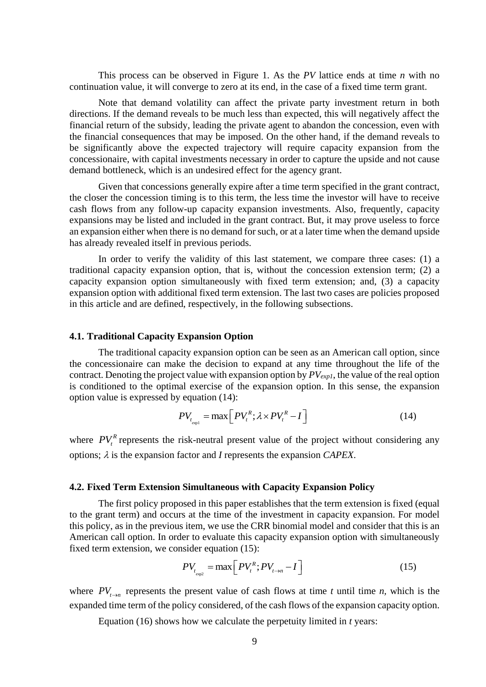This process can be observed in [Figure 1.](#page-6-0) As the *PV* lattice ends at time *n* with no continuation value, it will converge to zero at its end, in the case of a fixed time term grant.

Note that demand volatility can affect the private party investment return in both directions. If the demand reveals to be much less than expected, this will negatively affect the financial return of the subsidy, leading the private agent to abandon the concession, even with the financial consequences that may be imposed. On the other hand, if the demand reveals to be significantly above the expected trajectory will require capacity expansion from the concessionaire, with capital investments necessary in order to capture the upside and not cause demand bottleneck, which is an undesired effect for the agency grant.

Given that concessions generally expire after a time term specified in the grant contract, the closer the concession timing is to this term, the less time the investor will have to receive cash flows from any follow-up capacity expansion investments. Also, frequently, capacity expansions may be listed and included in the grant contract. But, it may prove useless to force an expansion either when there is no demand for such, or at a later time when the demand upside has already revealed itself in previous periods.

In order to verify the validity of this last statement, we compare three cases: (1) a traditional capacity expansion option, that is, without the concession extension term; (2) a capacity expansion option simultaneously with fixed term extension; and, (3) a capacity expansion option with additional fixed term extension. The last two cases are policies proposed in this article and are defined, respectively, in the following subsections.

## **4.1. Traditional Capacity Expansion Option**

The traditional capacity expansion option can be seen as an American call option, since the concessionaire can make the decision to expand at any time throughout the life of the contract. Denoting the project value with expansion option by *PVexp1*, the value of the real option is conditioned to the optimal exercise of the expansion option. In this sense, the expansion option value is expressed by equation (14):

$$
PV_{t_{\text{expl}}} = \max\left[ PV_{t}^{R}; \lambda \times PV_{t}^{R} - I \right]
$$
 (14)

where  $PV_t^R$  represents the risk-neutral present value of the project without considering any options;  $\lambda$  is the expansion factor and *I* represents the expansion *CAPEX*.

#### **4.2. Fixed Term Extension Simultaneous with Capacity Expansion Policy**

The first policy proposed in this paper establishes that the term extension is fixed (equal to the grant term) and occurs at the time of the investment in capacity expansion. For model this policy, as in the previous item, we use the CRR binomial model and consider that this is an American call option. In order to evaluate this capacity expansion option with simultaneously fixed term extension, we consider equation (15):

$$
PV_{t_{exp2}} = \max \left[ PV_{t}^{R}; PV_{t \to n} - I \right]
$$
 (15)

where  $PV_{t\rightarrow n}$  represents the present value of cash flows at time *t* until time *n*, which is the expanded time term of the policy considered, of the cash flows of the expansion capacity option.

Equation (16) shows how we calculate the perpetuity limited in *t* years: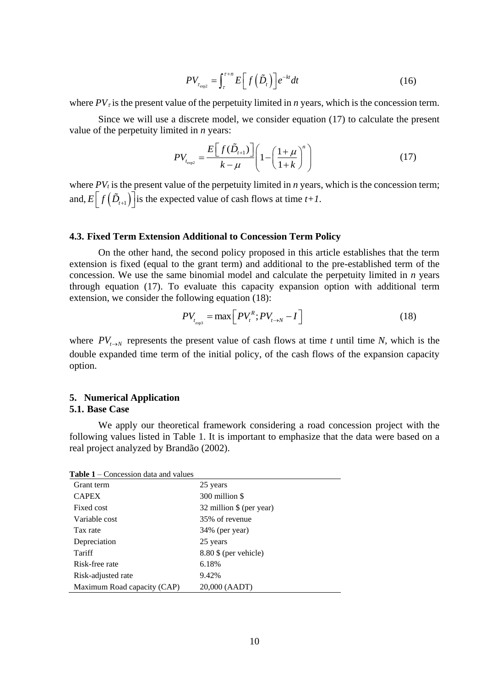$$
PV_{\tau_{\text{exp2}}} = \int_{\tau}^{\tau+n} E\Big[f\Big(\tilde{D}_t\Big)\Big] e^{-kt} dt \tag{16}
$$

where  $PV<sub>z</sub>$  is the present value of the perpetuity limited in *n* years, which is the concession term.

Since we will use a discrete model, we consider equation (17) to calculate the present value of the perpetuity limited in *n* years:

$$
PV_{t_{exp2}} = \frac{E[f(\tilde{D}_{t+1})]}{k - \mu} \left(1 - \left(\frac{1 + \mu}{1 + k}\right)^n\right)
$$
(17)

where  $PV<sub>t</sub>$  is the present value of the perpetuity limited in *n* years, which is the concession term; and,  $E\left[f\left(\tilde{D}_{t+1}\right)\right]$  is the expected value of cash flows at time  $t+1$ .

## **4.3. Fixed Term Extension Additional to Concession Term Policy**

On the other hand, the second policy proposed in this article establishes that the term extension is fixed (equal to the grant term) and additional to the pre-established term of the concession. We use the same binomial model and calculate the perpetuity limited in *n* years through equation (17). To evaluate this capacity expansion option with additional term extension, we consider the following equation (18):

$$
PV_{t_{\text{exp3}}} = \max \left[ PV_{t}^{R}; PV_{t \to N} - I \right]
$$
 (18)

where  $PV_{t\rightarrow N}$  represents the present value of cash flows at time *t* until time *N*, which is the double expanded time term of the initial policy, of the cash flows of the expansion capacity option.

#### **5. Numerical Application 5.1. Base Case**

We apply our theoretical framework considering a road concession project with the following values listed in [Table 1.](#page-9-0) It is important to emphasize that the data were based on a real project analyzed by Brandão (2002).

<span id="page-9-0"></span>**Table 1** – Concession data and values

|                                                                     | $PV_{\tau_{\text{max}}} = \left  \int E   f(D_t)   e^{-\kappa t} dt \right $                                                                                                                                                                                                                         |
|---------------------------------------------------------------------|------------------------------------------------------------------------------------------------------------------------------------------------------------------------------------------------------------------------------------------------------------------------------------------------------|
|                                                                     | where $PV_{\tau}$ is the present value of the perpetuity limited in <i>n</i> years, which                                                                                                                                                                                                            |
| value of the perpetuity limited in $n$ years:                       | Since we will use a discrete model, we consider equation (17)                                                                                                                                                                                                                                        |
|                                                                     |                                                                                                                                                                                                                                                                                                      |
|                                                                     | $PV_{t_{\text{exp2}}} = \frac{E[f(D_{t+1})]}{k-\mu} \left(1 - \left(\frac{1+\mu}{1+k}\right)^n\right)$                                                                                                                                                                                               |
|                                                                     | where $PVt$ is the present value of the perpetuity limited in <i>n</i> years, whic<br>and, $E[f(\tilde{D}_{t+1})]$ is the expected value of cash flows at time $t+1$ .                                                                                                                               |
|                                                                     | 4.3. Fixed Term Extension Additional to Concession Term Policy                                                                                                                                                                                                                                       |
| extension, we consider the following equation (18):                 | On the other hand, the second policy proposed in this article<br>extension is fixed (equal to the grant term) and additional to the pre<br>concession. We use the same binomial model and calculate the perp<br>through equation (17). To evaluate this capacity expansion optic                     |
|                                                                     | $PV_{t_{on3}} = \max \left[ PV_{t}^{R}; PV_{t \rightarrow N} - I \right]$                                                                                                                                                                                                                            |
| option.<br><b>5. Numerical Application</b><br><b>5.1. Base Case</b> | where $PV_{t\rightarrow N}$ represents the present value of cash flows at time t un<br>double expanded time term of the initial policy, of the cash flows of<br>We apply our theoretical framework considering a road con<br>following values listed in Table 1. It is important to emphasize that t |
| real project analyzed by Brandão (2002).                            |                                                                                                                                                                                                                                                                                                      |
|                                                                     |                                                                                                                                                                                                                                                                                                      |
| Table 1 – Concession data and values                                |                                                                                                                                                                                                                                                                                                      |
| Grant term<br><b>CAPEX</b>                                          | 25 years<br>300 million \$                                                                                                                                                                                                                                                                           |
| Fixed cost                                                          | 32 million \$ (per year)                                                                                                                                                                                                                                                                             |
| Variable cost                                                       | 35% of revenue                                                                                                                                                                                                                                                                                       |
| Tax rate                                                            | 34% (per year)                                                                                                                                                                                                                                                                                       |
| Depreciation                                                        | 25 years                                                                                                                                                                                                                                                                                             |
| Tariff                                                              | 8.80 \$ (per vehicle)                                                                                                                                                                                                                                                                                |
| Risk-free rate                                                      | 6.18%                                                                                                                                                                                                                                                                                                |
| Risk-adjusted rate                                                  | 9.42%                                                                                                                                                                                                                                                                                                |
| Maximum Road capacity (CAP)                                         | 20,000 (AADT)                                                                                                                                                                                                                                                                                        |
|                                                                     | 10                                                                                                                                                                                                                                                                                                   |
|                                                                     |                                                                                                                                                                                                                                                                                                      |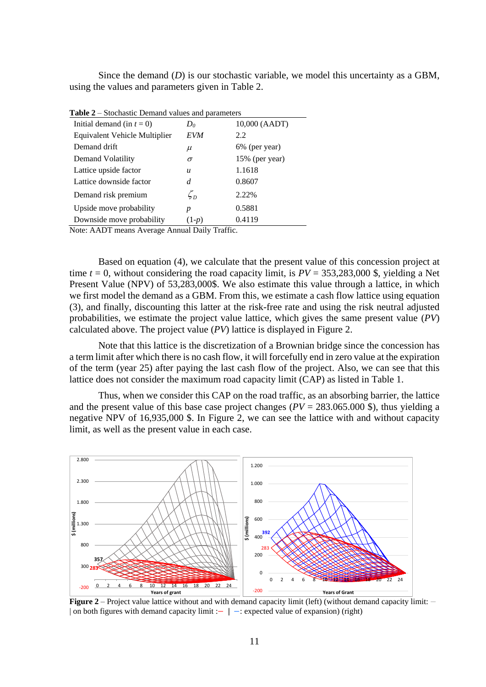Since the demand (*D*) is our stochastic variable, we model this uncertainty as a GBM, using the values and parameters given in [Table 2.](#page-10-0)

| <b>Table</b> $2 -$ Stochastic Demand values and parameters |                                |                |  |
|------------------------------------------------------------|--------------------------------|----------------|--|
| Initial demand (in $t = 0$ )                               | $D_0$                          | 10,000 (AADT)  |  |
| <b>Equivalent Vehicle Multiplier</b>                       | EVM                            | 2.2            |  |
| Demand drift                                               | $\mu$                          | 6% (per year)  |  |
| Demand Volatility                                          | σ                              | 15% (per year) |  |
| Lattice upside factor                                      | u                              | 1.1618         |  |
| Lattice downside factor                                    | d                              | 0.8607         |  |
| Demand risk premium                                        | $\zeta_{\scriptscriptstyle D}$ | 2.22%          |  |
| Upside move probability                                    | p                              | 0.5881         |  |
| Downside move probability                                  | $(1-p)$                        | 0.4119         |  |
|                                                            |                                |                |  |

<span id="page-10-0"></span>**Table 2** – Stochastic Demand values and parameters

Note: AADT means Average Annual Daily Traffic.

Based on equation (4), we calculate that the present value of this concession project at time  $t = 0$ , without considering the road capacity limit, is  $PV = 353,283,000$  \$, yielding a Net Present Value (NPV) of 53,283,000\$. We also estimate this value through a lattice, in which we first model the demand as a GBM. From this, we estimate a cash flow lattice using equation (3), and finally, discounting this latter at the risk-free rate and using the risk neutral adjusted probabilities, we estimate the project value lattice, which gives the same present value (*PV*) calculated above. The project value (*PV*) lattice is displayed in [Figure 2.](#page-10-1)

Note that this lattice is the discretization of a Brownian bridge since the concession has a term limit after which there is no cash flow, it will forcefully end in zero value at the expiration of the term (year 25) after paying the last cash flow of the project. Also, we can see that this lattice does not consider the maximum road capacity limit (CAP) as listed in [Table 1.](#page-9-0)

Thus, when we consider this CAP on the road traffic, as an absorbing barrier, the lattice and the present value of this base case project changes  $(PV = 283.065.000 \text{ s})$ , thus yielding a negative NPV of 16,935,000 \$. In [Figure 2,](#page-10-1) we can see the lattice with and without capacity limit, as well as the present value in each case.



<span id="page-10-1"></span>**Figure 2** – Project value lattice without and with demand capacity limit (left) (without demand capacity limit: − | on both figures with demand capacity limit :− | −: expected value of expansion) (right)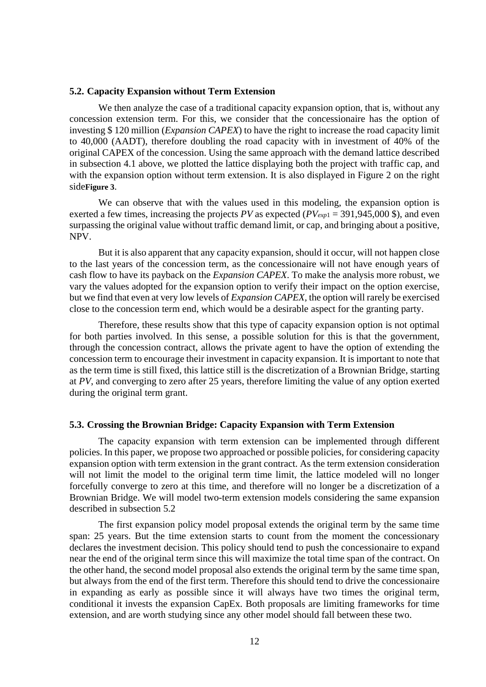#### <span id="page-11-0"></span>**5.2. Capacity Expansion without Term Extension**

We then analyze the case of a traditional capacity expansion option, that is, without any concession extension term. For this, we consider that the concessionaire has the option of investing \$ 120 million (*Expansion CAPEX*) to have the right to increase the road capacity limit to 40,000 (AADT), therefore doubling the road capacity with in investment of 40% of the original CAPEX of the concession. Using the same approach with the demand lattice described in subsection 4.1 above, we plotted the lattice displaying both the project with traffic cap, and with the expansion option without term extension. It is also displayed in [Figure 2](#page-10-1) on the right side**[Figure 3](#page-12-0)**.

We can observe that with the values used in this modeling, the expansion option is exerted a few times, increasing the projects *PV* as expected (*PVexp*<sup>1</sup> = 391,945,000 \$), and even surpassing the original value without traffic demand limit, or cap, and bringing about a positive, NPV.

But it is also apparent that any capacity expansion, should it occur, will not happen close to the last years of the concession term, as the concessionaire will not have enough years of cash flow to have its payback on the *Expansion CAPEX*. To make the analysis more robust, we vary the values adopted for the expansion option to verify their impact on the option exercise, but we find that even at very low levels of *Expansion CAPEX,* the option will rarely be exercised close to the concession term end, which would be a desirable aspect for the granting party.

Therefore, these results show that this type of capacity expansion option is not optimal for both parties involved. In this sense, a possible solution for this is that the government, through the concession contract, allows the private agent to have the option of extending the concession term to encourage their investment in capacity expansion. It is important to note that as the term time is still fixed, this lattice still is the discretization of a Brownian Bridge, starting at *PV*, and converging to zero after 25 years, therefore limiting the value of any option exerted during the original term grant.

## **5.3. Crossing the Brownian Bridge: Capacity Expansion with Term Extension**

The capacity expansion with term extension can be implemented through different policies. In this paper, we propose two approached or possible policies, for considering capacity expansion option with term extension in the grant contract. As the term extension consideration will not limit the model to the original term time limit, the lattice modeled will no longer forcefully converge to zero at this time, and therefore will no longer be a discretization of a Brownian Bridge. We will model two-term extension models considering the same expansion described in subsection [5.2](#page-11-0)

The first expansion policy model proposal extends the original term by the same time span: 25 years. But the time extension starts to count from the moment the concessionary declares the investment decision. This policy should tend to push the concessionaire to expand near the end of the original term since this will maximize the total time span of the contract. On the other hand, the second model proposal also extends the original term by the same time span, but always from the end of the first term. Therefore this should tend to drive the concessionaire in expanding as early as possible since it will always have two times the original term, conditional it invests the expansion CapEx. Both proposals are limiting frameworks for time extension, and are worth studying since any other model should fall between these two.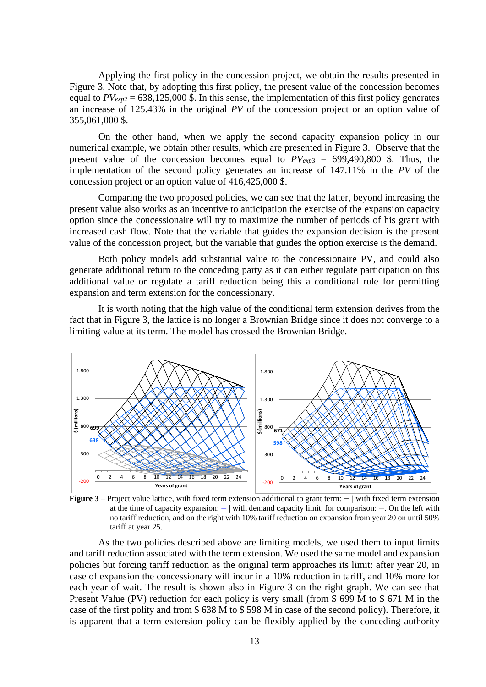Applying the first policy in the concession project, we obtain the results presented in [Figure 3.](#page-12-0) Note that, by adopting this first policy, the present value of the concession becomes equal to  $PV_{exp2} = 638,125,000$  \$. In this sense, the implementation of this first policy generates an increase of 125.43% in the original *PV* of the concession project or an option value of 355,061,000 \$.

On the other hand, when we apply the second capacity expansion policy in our numerical example, we obtain other results, which are presented in Figure 3. Observe that the present value of the concession becomes equal to  $PV_{exp3} = 699,490,800$  \$. Thus, the implementation of the second policy generates an increase of 147.11% in the *PV* of the concession project or an option value of 416,425,000 \$.

Comparing the two proposed policies, we can see that the latter, beyond increasing the present value also works as an incentive to anticipation the exercise of the expansion capacity option since the concessionaire will try to maximize the number of periods of his grant with increased cash flow. Note that the variable that guides the expansion decision is the present value of the concession project, but the variable that guides the option exercise is the demand.

Both policy models add substantial value to the concessionaire PV, and could also generate additional return to the conceding party as it can either regulate participation on this additional value or regulate a tariff reduction being this a conditional rule for permitting expansion and term extension for the concessionary.

It is worth noting that the high value of the conditional term extension derives from the fact that in [Figure 3,](#page-12-0) the lattice is no longer a Brownian Bridge since it does not converge to a limiting value at its term. The model has crossed the Brownian Bridge.



<span id="page-12-0"></span>**Figure 3** – Project value lattice, with fixed term extension additional to grant term: − | with fixed term extension at the time of capacity expansion: − | with demand capacity limit, for comparison: −. On the left with no tariff reduction, and on the right with 10% tariff reduction on expansion from year 20 on until 50% tariff at year 25.

As the two policies described above are limiting models, we used them to input limits and tariff reduction associated with the term extension. We used the same model and expansion policies but forcing tariff reduction as the original term approaches its limit: after year 20, in case of expansion the concessionary will incur in a 10% reduction in tariff, and 10% more for each year of wait. The result is shown also in [Figure 3](#page-12-0) on the right graph. We can see that Present Value (PV) reduction for each policy is very small (from \$ 699 M to \$ 671 M in the case of the first polity and from \$ 638 M to \$ 598 M in case of the second policy). Therefore, it is apparent that a term extension policy can be flexibly applied by the conceding authority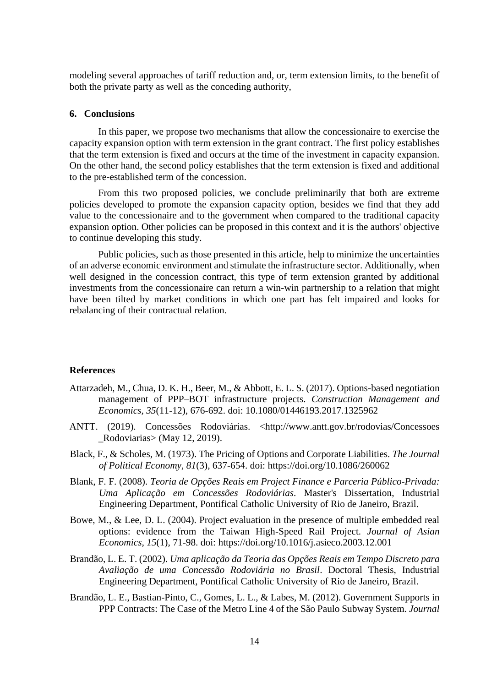modeling several approaches of tariff reduction and, or, term extension limits, to the benefit of both the private party as well as the conceding authority,

## **6. Conclusions**

In this paper, we propose two mechanisms that allow the concessionaire to exercise the capacity expansion option with term extension in the grant contract. The first policy establishes that the term extension is fixed and occurs at the time of the investment in capacity expansion. On the other hand, the second policy establishes that the term extension is fixed and additional to the pre-established term of the concession.

From this two proposed policies, we conclude preliminarily that both are extreme policies developed to promote the expansion capacity option, besides we find that they add value to the concessionaire and to the government when compared to the traditional capacity expansion option. Other policies can be proposed in this context and it is the authors' objective to continue developing this study.

Public policies, such as those presented in this article, help to minimize the uncertainties of an adverse economic environment and stimulate the infrastructure sector. Additionally, when well designed in the concession contract, this type of term extension granted by additional investments from the concessionaire can return a win-win partnership to a relation that might have been tilted by market conditions in which one part has felt impaired and looks for rebalancing of their contractual relation.

## **References**

- Attarzadeh, M., Chua, D. K. H., Beer, M., & Abbott, E. L. S. (2017). Options-based negotiation management of PPP–BOT infrastructure projects. *Construction Management and Economics, 35*(11-12), 676-692. doi: 10.1080/01446193.2017.1325962
- ANTT. (2019). Concessões Rodoviárias. <http://www.antt.gov.br/rodovias/Concessoes \_Rodoviarias> (May 12, 2019).
- Black, F., & Scholes, M. (1973). The Pricing of Options and Corporate Liabilities. *The Journal of Political Economy, 81*(3), 637-654. doi: https://doi.org/10.1086/260062
- Blank, F. F. (2008). *Teoria de Opções Reais em Project Finance e Parceria Público-Privada: Uma Aplicação em Concessões Rodoviárias*. Master's Dissertation, Industrial Engineering Department, Pontifical Catholic University of Rio de Janeiro, Brazil.
- Bowe, M., & Lee, D. L. (2004). Project evaluation in the presence of multiple embedded real options: evidence from the Taiwan High-Speed Rail Project. *Journal of Asian Economics, 15*(1), 71-98. doi: https://doi.org/10.1016/j.asieco.2003.12.001
- Brandão, L. E. T. (2002). *Uma aplicação da Teoria das Opções Reais em Tempo Discreto para Avaliação de uma Concessão Rodoviária no Brasil*. Doctoral Thesis, Industrial Engineering Department, Pontifical Catholic University of Rio de Janeiro, Brazil.
- Brandão, L. E., Bastian-Pinto, C., Gomes, L. L., & Labes, M. (2012). Government Supports in PPP Contracts: The Case of the Metro Line 4 of the São Paulo Subway System. *Journal*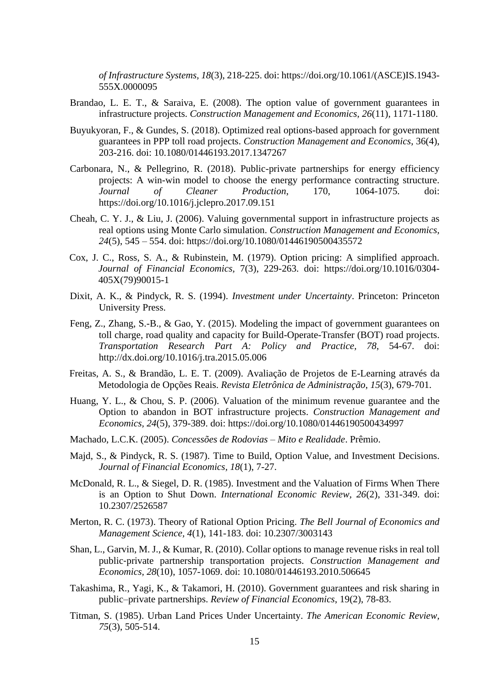*of Infrastructure Systems, 18*(3), 218-225. doi: https://doi.org/10.1061/(ASCE)IS.1943- 555X.0000095

- Brandao, L. E. T., & Saraiva, E. (2008). The option value of government guarantees in infrastructure projects. *Construction Management and Economics, 26*(11), 1171-1180.
- Buyukyoran, F., & Gundes, S. (2018). Optimized real options-based approach for government guarantees in PPP toll road projects. *Construction Management and Economics*, 36(4), 203-216. doi: 10.1080/01446193.2017.1347267
- Carbonara, N., & Pellegrino, R. (2018). Public-private partnerships for energy efficiency projects: A win-win model to choose the energy performance contracting structure. *Journal of Cleaner Production*, 170, 1064-1075. doi: https://doi.org/10.1016/j.jclepro.2017.09.151
- Cheah, C. Y. J., & Liu, J. (2006). Valuing governmental support in infrastructure projects as real options using Monte Carlo simulation. *Construction Management and Economics, 24*(5), 545 – 554. doi: https://doi.org/10.1080/01446190500435572
- Cox, J. C., Ross, S. A., & Rubinstein, M. (1979). Option pricing: A simplified approach. *Journal of Financial Economics,* 7(3), 229-263. doi: https://doi.org/10.1016/0304- 405X(79)90015-1
- Dixit, A. K., & Pindyck, R. S. (1994). *Investment under Uncertainty*. Princeton: Princeton University Press.
- Feng, Z., Zhang, S.-B., & Gao, Y. (2015). Modeling the impact of government guarantees on toll charge, road quality and capacity for Build-Operate-Transfer (BOT) road projects. *Transportation Research Part A: Policy and Practice, 78*, 54-67. doi: http://dx.doi.org/10.1016/j.tra.2015.05.006
- Freitas, A. S., & Brandão, L. E. T. (2009). Avaliação de Projetos de E-Learning através da Metodologia de Opções Reais. *Revista Eletrônica de Administração*, *15*(3), 679-701.
- Huang, Y. L., & Chou, S. P. (2006). Valuation of the minimum revenue guarantee and the Option to abandon in BOT infrastructure projects. *Construction Management and Economics, 24*(5), 379-389. doi: https://doi.org/10.1080/01446190500434997
- Machado, L.C.K. (2005). *Concessões de Rodovias – Mito e Realidade*. Prêmio.
- Majd, S., & Pindyck, R. S. (1987). Time to Build, Option Value, and Investment Decisions. *Journal of Financial Economics, 18*(1), 7-27.
- McDonald, R. L., & Siegel, D. R. (1985). Investment and the Valuation of Firms When There is an Option to Shut Down. *International Economic Review, 26*(2), 331-349. doi: 10.2307/2526587
- Merton, R. C. (1973). Theory of Rational Option Pricing. *The Bell Journal of Economics and Management Science, 4*(1), 141-183. doi: 10.2307/3003143
- Shan, L., Garvin, M. J., & Kumar, R. (2010). Collar options to manage revenue risks in real toll public‐private partnership transportation projects. *Construction Management and Economics, 28*(10), 1057-1069. doi: 10.1080/01446193.2010.506645
- Takashima, R., Yagi, K., & Takamori, H. (2010). Government guarantees and risk sharing in public–private partnerships. *Review of Financial Economics*, 19(2), 78-83.
- Titman, S. (1985). Urban Land Prices Under Uncertainty. *The American Economic Review, 75*(3), 505-514.